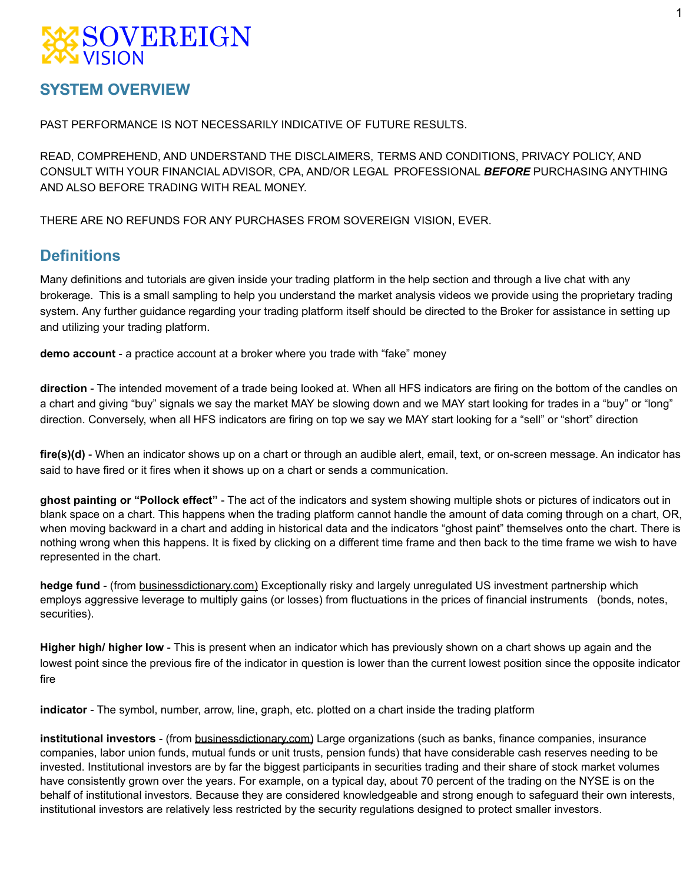## SOVEREIGN

### **SYSTEM OVERVIEW**

PAST PERFORMANCE IS NOT NECESSARILY INDICATIVE OF FUTURE RESULTS.

READ, COMPREHEND, AND UNDERSTAND THE DISCLAIMERS, TERMS AND CONDITIONS, PRIVACY POLICY, AND CONSULT WITH YOUR FINANCIAL ADVISOR, CPA, AND/OR LEGAL PROFESSIONAL *BEFORE* PURCHASING ANYTHING AND ALSO BEFORE TRADING WITH REAL MONEY.

THERE ARE NO REFUNDS FOR ANY PURCHASES FROM SOVEREIGN VISION, EVER.

### **Definitions**

Many definitions and tutorials are given inside your trading platform in the help section and through a live chat with any brokerage. This is a small sampling to help you understand the market analysis videos we provide using the proprietary trading system. Any further guidance regarding your trading platform itself should be directed to the Broker for assistance in setting up and utilizing your trading platform.

**demo account** - a practice account at a broker where you trade with "fake" money

**direction** - The intended movement of a trade being looked at. When all HFS indicators are firing on the bottom of the candles on a chart and giving "buy" signals we say the market MAY be slowing down and we MAY start looking for trades in a "buy" or "long" direction. Conversely, when all HFS indicators are firing on top we say we MAY start looking for a "sell" or "short" direction

**fire(s)(d)** - When an indicator shows up on a chart or through an audible alert, email, text, or on-screen message. An indicator has said to have fired or it fires when it shows up on a chart or sends a communication.

**ghost painting or "Pollock effect"** - The act of the indicators and system showing multiple shots or pictures of indicators out in blank space on a chart. This happens when the trading platform cannot handle the amount of data coming through on a chart, OR, when moving backward in a chart and adding in historical data and the indicators "ghost paint" themselves onto the chart. There is nothing wrong when this happens. It is fixed by clicking on a different time frame and then back to the time frame we wish to have represented in the chart.

**hedge fund** - (from businessdictionary.com) Exceptionally risky and largely unregulated US investment partnership which employs aggressive leverage to multiply gains (or losses) from fluctuations in the prices of financial instruments (bonds, notes, securities).

**Higher high/ higher low** - This is present when an indicator which has previously shown on a chart shows up again and the lowest point since the previous fire of the indicator in question is lower than the current lowest position since the opposite indicator fire

**indicator** - The symbol, number, arrow, line, graph, etc. plotted on a chart inside the trading platform

**institutional investors** - (from businessdictionary.com) Large organizations (such as banks, finance companies, insurance companies, labor union funds, mutual funds or unit trusts, pension funds) that have considerable cash reserves needing to be invested. Institutional investors are by far the biggest participants in securities trading and their share of stock market volumes have consistently grown over the years. For example, on a typical day, about 70 percent of the trading on the NYSE is on the behalf of institutional investors. Because they are considered knowledgeable and strong enough to safeguard their own interests, institutional investors are relatively less restricted by the security regulations designed to protect smaller investors.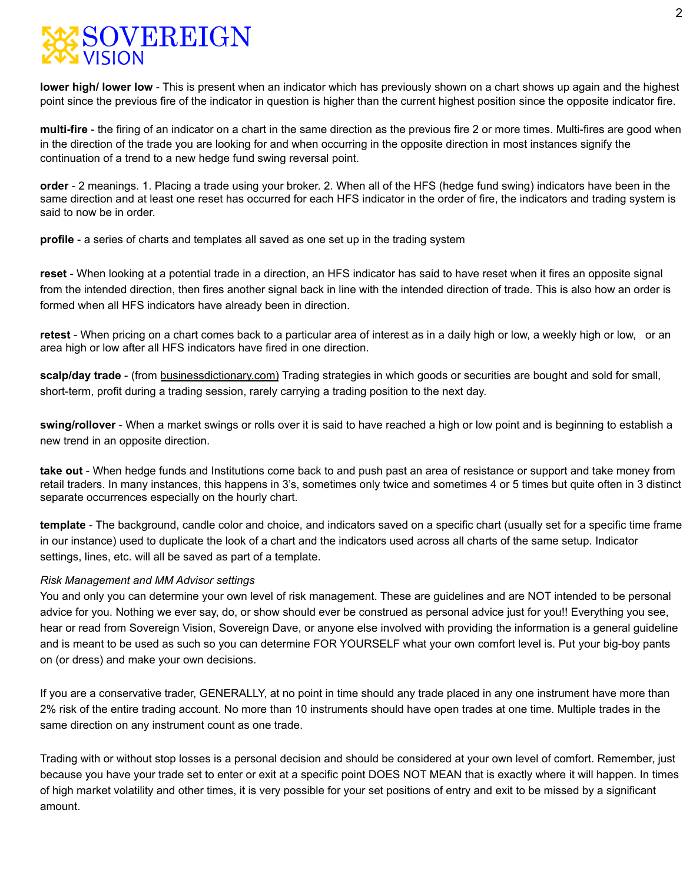

**lower high/ lower low** - This is present when an indicator which has previously shown on a chart shows up again and the highest point since the previous fire of the indicator in question is higher than the current highest position since the opposite indicator fire.

**multi-fire** - the firing of an indicator on a chart in the same direction as the previous fire 2 or more times. Multi-fires are good when in the direction of the trade you are looking for and when occurring in the opposite direction in most instances signify the continuation of a trend to a new hedge fund swing reversal point.

**order** - 2 meanings. 1. Placing a trade using your broker. 2. When all of the HFS (hedge fund swing) indicators have been in the same direction and at least one reset has occurred for each HFS indicator in the order of fire, the indicators and trading system is said to now be in order.

**profile** - a series of charts and templates all saved as one set up in the trading system

**reset** - When looking at a potential trade in a direction, an HFS indicator has said to have reset when it fires an opposite signal from the intended direction, then fires another signal back in line with the intended direction of trade. This is also how an order is formed when all HFS indicators have already been in direction.

**retest** - When pricing on a chart comes back to a particular area of interest as in a daily high or low, a weekly high or low, or an area high or low after all HFS indicators have fired in one direction.

**scalp/day trade** - (from businessdictionary.com) Trading strategies in which goods or securities are bought and sold for small, short-term, profit during a trading session, rarely carrying a trading position to the next day.

**swing/rollover** - When a market swings or rolls over it is said to have reached a high or low point and is beginning to establish a new trend in an opposite direction.

**take out** - When hedge funds and Institutions come back to and push past an area of resistance or support and take money from retail traders. In many instances, this happens in 3's, sometimes only twice and sometimes 4 or 5 times but quite often in 3 distinct separate occurrences especially on the hourly chart.

**template** - The background, candle color and choice, and indicators saved on a specific chart (usually set for a specific time frame in our instance) used to duplicate the look of a chart and the indicators used across all charts of the same setup. Indicator settings, lines, etc. will all be saved as part of a template.

#### *Risk Management and MM Advisor settings*

You and only you can determine your own level of risk management. These are guidelines and are NOT intended to be personal advice for you. Nothing we ever say, do, or show should ever be construed as personal advice just for you!! Everything you see, hear or read from Sovereign Vision, Sovereign Dave, or anyone else involved with providing the information is a general guideline and is meant to be used as such so you can determine FOR YOURSELF what your own comfort level is. Put your big-boy pants on (or dress) and make your own decisions.

If you are a conservative trader, GENERALLY, at no point in time should any trade placed in any one instrument have more than 2% risk of the entire trading account. No more than 10 instruments should have open trades at one time. Multiple trades in the same direction on any instrument count as one trade.

Trading with or without stop losses is a personal decision and should be considered at your own level of comfort. Remember, just because you have your trade set to enter or exit at a specific point DOES NOT MEAN that is exactly where it will happen. In times of high market volatility and other times, it is very possible for your set positions of entry and exit to be missed by a significant amount.